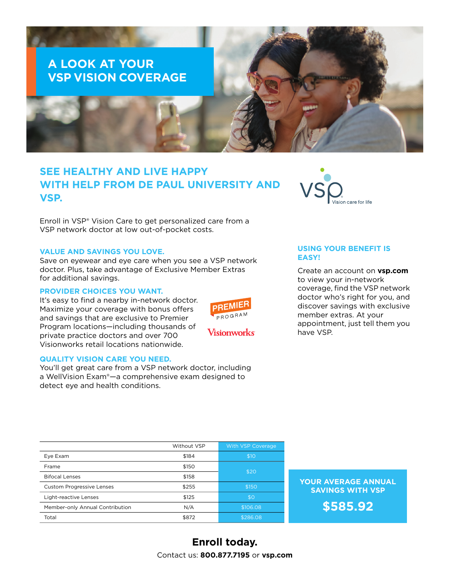# **A LOOK AT YOUR VSP VISION COVERAGE**

# **SEE HEALTHY AND LIVE HAPPY WITH HELP FROM DE PAUL UNIVERSITY AND VSP.**

Enroll in VSP® Vision Care to get personalized care from a VSP network doctor at low out-of-pocket costs.

### **VALUE AND SAVINGS YOU LOVE.**

Save on eyewear and eye care when you see a VSP network doctor. Plus, take advantage of Exclusive Member Extras for additional savings.

### **PROVIDER CHOICES YOU WANT.**

It's easy to find a nearby in-network doctor. Maximize your coverage with bonus offers and savings that are exclusive to Premier Program locations—including thousands of private practice doctors and over 700 Visionworks retail locations nationwide.

### **QUALITY VISION CARE YOU NEED.**

You'll get great care from a VSP network doctor, including a WellVision Exam®—a comprehensive exam designed to detect eye and health conditions.



## **USING YOUR BENEFIT IS EASY!**

Create an account on **vsp.com** to view your in-network coverage, find the VSP network doctor who's right for you, and discover savings with exclusive member extras. At your appointment, just tell them you have VSP.

|                                  | Without VSP | With VSP Coverage |
|----------------------------------|-------------|-------------------|
| Eye Exam                         | \$184       | \$10              |
| Frame                            | \$150       | \$20              |
| <b>Bifocal Lenses</b>            | \$158       |                   |
| <b>Custom Progressive Lenses</b> | \$255       | \$150             |
| Light-reactive Lenses            | \$125       | \$0               |
| Member-only Annual Contribution  | N/A         | \$106.08          |
| Total                            | \$872       | \$286.08          |

**YOUR AVERAGE ANNUAL SAVINGS WITH VSP**

**\$585.92**

# **Enroll today.** Contact us: **800.877.7195** or **vsp.com**

**PREMIE** PROGRAM

Visionworks